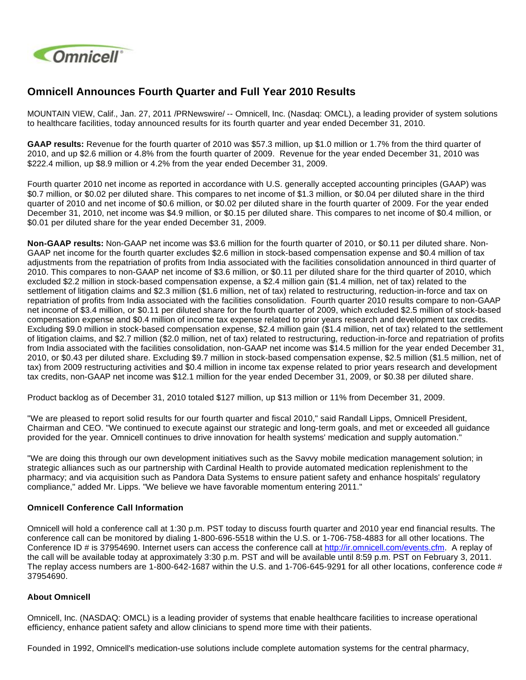

# **Omnicell Announces Fourth Quarter and Full Year 2010 Results**

MOUNTAIN VIEW, Calif., Jan. 27, 2011 /PRNewswire/ -- Omnicell, Inc. (Nasdaq: OMCL), a leading provider of system solutions to healthcare facilities, today announced results for its fourth quarter and year ended December 31, 2010.

**GAAP results:** Revenue for the fourth quarter of 2010 was \$57.3 million, up \$1.0 million or 1.7% from the third quarter of 2010, and up \$2.6 million or 4.8% from the fourth quarter of 2009. Revenue for the year ended December 31, 2010 was \$222.4 million, up \$8.9 million or 4.2% from the year ended December 31, 2009.

Fourth quarter 2010 net income as reported in accordance with U.S. generally accepted accounting principles (GAAP) was \$0.7 million, or \$0.02 per diluted share. This compares to net income of \$1.3 million, or \$0.04 per diluted share in the third quarter of 2010 and net income of \$0.6 million, or \$0.02 per diluted share in the fourth quarter of 2009. For the year ended December 31, 2010, net income was \$4.9 million, or \$0.15 per diluted share. This compares to net income of \$0.4 million, or \$0.01 per diluted share for the year ended December 31, 2009.

**Non-GAAP results:** Non-GAAP net income was \$3.6 million for the fourth quarter of 2010, or \$0.11 per diluted share. Non-GAAP net income for the fourth quarter excludes \$2.6 million in stock-based compensation expense and \$0.4 million of tax adjustments from the repatriation of profits from India associated with the facilities consolidation announced in third quarter of 2010. This compares to non-GAAP net income of \$3.6 million, or \$0.11 per diluted share for the third quarter of 2010, which excluded \$2.2 million in stock-based compensation expense, a \$2.4 million gain (\$1.4 million, net of tax) related to the settlement of litigation claims and \$2.3 million (\$1.6 million, net of tax) related to restructuring, reduction-in-force and tax on repatriation of profits from India associated with the facilities consolidation. Fourth quarter 2010 results compare to non-GAAP net income of \$3.4 million, or \$0.11 per diluted share for the fourth quarter of 2009, which excluded \$2.5 million of stock-based compensation expense and \$0.4 million of income tax expense related to prior years research and development tax credits. Excluding \$9.0 million in stock-based compensation expense, \$2.4 million gain (\$1.4 million, net of tax) related to the settlement of litigation claims, and \$2.7 million (\$2.0 million, net of tax) related to restructuring, reduction-in-force and repatriation of profits from India associated with the facilities consolidation, non-GAAP net income was \$14.5 million for the year ended December 31, 2010, or \$0.43 per diluted share. Excluding \$9.7 million in stock-based compensation expense, \$2.5 million (\$1.5 million, net of tax) from 2009 restructuring activities and \$0.4 million in income tax expense related to prior years research and development tax credits, non-GAAP net income was \$12.1 million for the year ended December 31, 2009, or \$0.38 per diluted share.

Product backlog as of December 31, 2010 totaled \$127 million, up \$13 million or 11% from December 31, 2009.

"We are pleased to report solid results for our fourth quarter and fiscal 2010," said Randall Lipps, Omnicell President, Chairman and CEO. "We continued to execute against our strategic and long-term goals, and met or exceeded all guidance provided for the year. Omnicell continues to drive innovation for health systems' medication and supply automation."

"We are doing this through our own development initiatives such as the Savvy mobile medication management solution; in strategic alliances such as our partnership with Cardinal Health to provide automated medication replenishment to the pharmacy; and via acquisition such as Pandora Data Systems to ensure patient safety and enhance hospitals' regulatory compliance," added Mr. Lipps. "We believe we have favorable momentum entering 2011."

# **Omnicell Conference Call Information**

Omnicell will hold a conference call at 1:30 p.m. PST today to discuss fourth quarter and 2010 year end financial results. The conference call can be monitored by dialing 1-800-696-5518 within the U.S. or 1-706-758-4883 for all other locations. The Conference ID # is 37954690. Internet users can access the conference call at [http://ir.omnicell.com/events.cfm.](http://ir.omnicell.com/events.cfm) A replay of the call will be available today at approximately 3:30 p.m. PST and will be available until 8:59 p.m. PST on February 3, 2011. The replay access numbers are 1-800-642-1687 within the U.S. and 1-706-645-9291 for all other locations, conference code # 37954690.

# **About Omnicell**

Omnicell, Inc. (NASDAQ: OMCL) is a leading provider of systems that enable healthcare facilities to increase operational efficiency, enhance patient safety and allow clinicians to spend more time with their patients.

Founded in 1992, Omnicell's medication-use solutions include complete automation systems for the central pharmacy,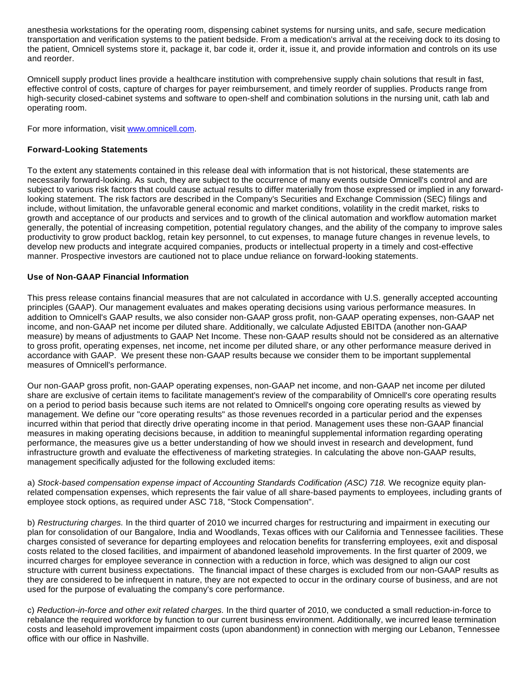anesthesia workstations for the operating room, dispensing cabinet systems for nursing units, and safe, secure medication transportation and verification systems to the patient bedside. From a medication's arrival at the receiving dock to its dosing to the patient, Omnicell systems store it, package it, bar code it, order it, issue it, and provide information and controls on its use and reorder.

Omnicell supply product lines provide a healthcare institution with comprehensive supply chain solutions that result in fast, effective control of costs, capture of charges for payer reimbursement, and timely reorder of supplies. Products range from high-security closed-cabinet systems and software to open-shelf and combination solutions in the nursing unit, cath lab and operating room.

For more information, visit [www.omnicell.com](http://www.omnicell.com/).

# **Forward-Looking Statements**

To the extent any statements contained in this release deal with information that is not historical, these statements are necessarily forward-looking. As such, they are subject to the occurrence of many events outside Omnicell's control and are subject to various risk factors that could cause actual results to differ materially from those expressed or implied in any forwardlooking statement. The risk factors are described in the Company's Securities and Exchange Commission (SEC) filings and include, without limitation, the unfavorable general economic and market conditions, volatility in the credit market, risks to growth and acceptance of our products and services and to growth of the clinical automation and workflow automation market generally, the potential of increasing competition, potential regulatory changes, and the ability of the company to improve sales productivity to grow product backlog, retain key personnel, to cut expenses, to manage future changes in revenue levels, to develop new products and integrate acquired companies, products or intellectual property in a timely and cost-effective manner. Prospective investors are cautioned not to place undue reliance on forward-looking statements.

# **Use of Non-GAAP Financial Information**

This press release contains financial measures that are not calculated in accordance with U.S. generally accepted accounting principles (GAAP). Our management evaluates and makes operating decisions using various performance measures. In addition to Omnicell's GAAP results, we also consider non-GAAP gross profit, non-GAAP operating expenses, non-GAAP net income, and non-GAAP net income per diluted share. Additionally, we calculate Adjusted EBITDA (another non-GAAP measure) by means of adjustments to GAAP Net Income. These non-GAAP results should not be considered as an alternative to gross profit, operating expenses, net income, net income per diluted share, or any other performance measure derived in accordance with GAAP. We present these non-GAAP results because we consider them to be important supplemental measures of Omnicell's performance.

Our non-GAAP gross profit, non-GAAP operating expenses, non-GAAP net income, and non-GAAP net income per diluted share are exclusive of certain items to facilitate management's review of the comparability of Omnicell's core operating results on a period to period basis because such items are not related to Omnicell's ongoing core operating results as viewed by management. We define our "core operating results" as those revenues recorded in a particular period and the expenses incurred within that period that directly drive operating income in that period. Management uses these non-GAAP financial measures in making operating decisions because, in addition to meaningful supplemental information regarding operating performance, the measures give us a better understanding of how we should invest in research and development, fund infrastructure growth and evaluate the effectiveness of marketing strategies. In calculating the above non-GAAP results, management specifically adjusted for the following excluded items:

a) Stock-based compensation expense impact of Accounting Standards Codification (ASC) 718. We recognize equity planrelated compensation expenses, which represents the fair value of all share-based payments to employees, including grants of employee stock options, as required under ASC 718, "Stock Compensation".

b) Restructuring charges. In the third quarter of 2010 we incurred charges for restructuring and impairment in executing our plan for consolidation of our Bangalore, India and Woodlands, Texas offices with our California and Tennessee facilities. These charges consisted of severance for departing employees and relocation benefits for transferring employees, exit and disposal costs related to the closed facilities, and impairment of abandoned leasehold improvements. In the first quarter of 2009, we incurred charges for employee severance in connection with a reduction in force, which was designed to align our cost structure with current business expectations. The financial impact of these charges is excluded from our non-GAAP results as they are considered to be infrequent in nature, they are not expected to occur in the ordinary course of business, and are not used for the purpose of evaluating the company's core performance.

c) Reduction-in-force and other exit related charges. In the third quarter of 2010, we conducted a small reduction-in-force to rebalance the required workforce by function to our current business environment. Additionally, we incurred lease termination costs and leasehold improvement impairment costs (upon abandonment) in connection with merging our Lebanon, Tennessee office with our office in Nashville.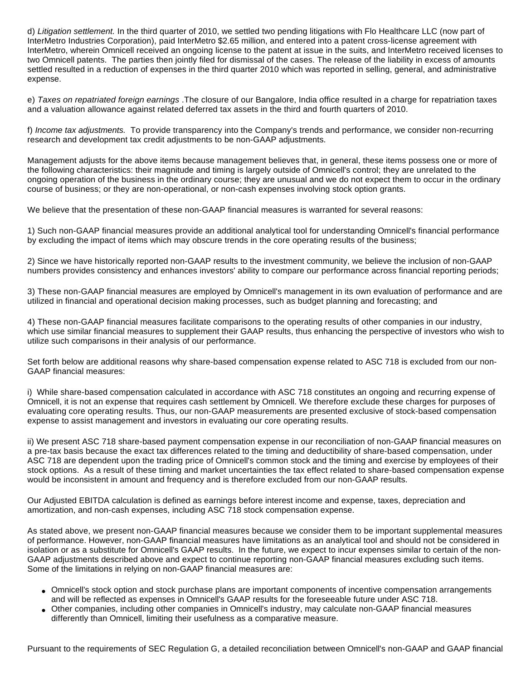d) Litigation settlement. In the third quarter of 2010, we settled two pending litigations with Flo Healthcare LLC (now part of InterMetro Industries Corporation), paid InterMetro \$2.65 million, and entered into a patent cross-license agreement with InterMetro, wherein Omnicell received an ongoing license to the patent at issue in the suits, and InterMetro received licenses to two Omnicell patents. The parties then jointly filed for dismissal of the cases. The release of the liability in excess of amounts settled resulted in a reduction of expenses in the third quarter 2010 which was reported in selling, general, and administrative expense.

e) Taxes on repatriated foreign earnings .The closure of our Bangalore, India office resulted in a charge for repatriation taxes and a valuation allowance against related deferred tax assets in the third and fourth quarters of 2010.

f) Income tax adjustments. To provide transparency into the Company's trends and performance, we consider non-recurring research and development tax credit adjustments to be non-GAAP adjustments.

Management adjusts for the above items because management believes that, in general, these items possess one or more of the following characteristics: their magnitude and timing is largely outside of Omnicell's control; they are unrelated to the ongoing operation of the business in the ordinary course; they are unusual and we do not expect them to occur in the ordinary course of business; or they are non-operational, or non-cash expenses involving stock option grants.

We believe that the presentation of these non-GAAP financial measures is warranted for several reasons:

1) Such non-GAAP financial measures provide an additional analytical tool for understanding Omnicell's financial performance by excluding the impact of items which may obscure trends in the core operating results of the business;

2) Since we have historically reported non-GAAP results to the investment community, we believe the inclusion of non-GAAP numbers provides consistency and enhances investors' ability to compare our performance across financial reporting periods;

3) These non-GAAP financial measures are employed by Omnicell's management in its own evaluation of performance and are utilized in financial and operational decision making processes, such as budget planning and forecasting; and

4) These non-GAAP financial measures facilitate comparisons to the operating results of other companies in our industry, which use similar financial measures to supplement their GAAP results, thus enhancing the perspective of investors who wish to utilize such comparisons in their analysis of our performance.

Set forth below are additional reasons why share-based compensation expense related to ASC 718 is excluded from our non-GAAP financial measures:

i) While share-based compensation calculated in accordance with ASC 718 constitutes an ongoing and recurring expense of Omnicell, it is not an expense that requires cash settlement by Omnicell. We therefore exclude these charges for purposes of evaluating core operating results. Thus, our non-GAAP measurements are presented exclusive of stock-based compensation expense to assist management and investors in evaluating our core operating results.

ii) We present ASC 718 share-based payment compensation expense in our reconciliation of non-GAAP financial measures on a pre-tax basis because the exact tax differences related to the timing and deductibility of share-based compensation, under ASC 718 are dependent upon the trading price of Omnicell's common stock and the timing and exercise by employees of their stock options. As a result of these timing and market uncertainties the tax effect related to share-based compensation expense would be inconsistent in amount and frequency and is therefore excluded from our non-GAAP results.

Our Adjusted EBITDA calculation is defined as earnings before interest income and expense, taxes, depreciation and amortization, and non-cash expenses, including ASC 718 stock compensation expense.

As stated above, we present non-GAAP financial measures because we consider them to be important supplemental measures of performance. However, non-GAAP financial measures have limitations as an analytical tool and should not be considered in isolation or as a substitute for Omnicell's GAAP results. In the future, we expect to incur expenses similar to certain of the non-GAAP adjustments described above and expect to continue reporting non-GAAP financial measures excluding such items. Some of the limitations in relying on non-GAAP financial measures are:

- Omnicell's stock option and stock purchase plans are important components of incentive compensation arrangements and will be reflected as expenses in Omnicell's GAAP results for the foreseeable future under ASC 718.
- Other companies, including other companies in Omnicell's industry, may calculate non-GAAP financial measures differently than Omnicell, limiting their usefulness as a comparative measure.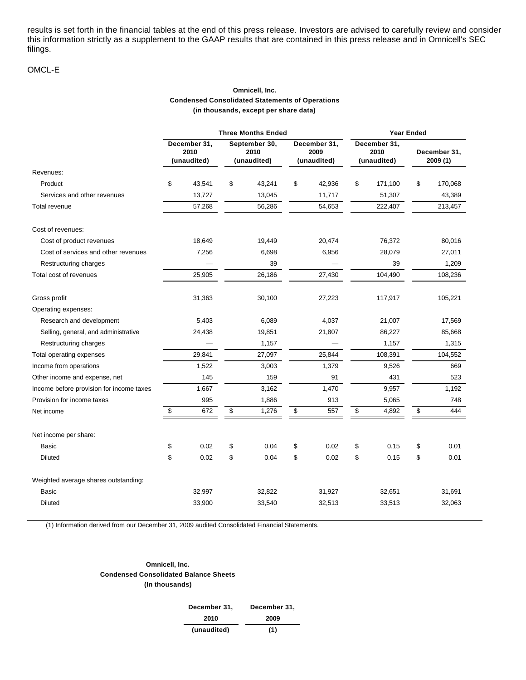results is set forth in the financial tables at the end of this press release. Investors are advised to carefully review and consider this information strictly as a supplement to the GAAP results that are contained in this press release and in Omnicell's SEC filings.

# OMCL-E

#### **Omnicell, Inc. Condensed Consolidated Statements of Operations (in thousands, except per share data)**

|                                          |                                     |                                      |                                     |        |                                     | <b>Year Ended</b> |    |                         |  |  |  |
|------------------------------------------|-------------------------------------|--------------------------------------|-------------------------------------|--------|-------------------------------------|-------------------|----|-------------------------|--|--|--|
|                                          | December 31,<br>2010<br>(unaudited) | September 30,<br>2010<br>(unaudited) | December 31,<br>2009<br>(unaudited) |        | December 31,<br>2010<br>(unaudited) |                   |    | December 31,<br>2009(1) |  |  |  |
| Revenues:                                |                                     |                                      |                                     |        |                                     |                   |    |                         |  |  |  |
| Product                                  | \$<br>43,541                        | \$<br>43,241                         | \$                                  | 42,936 | \$                                  | 171,100           | \$ | 170,068                 |  |  |  |
| Services and other revenues              | 13,727                              | 13,045                               |                                     | 11,717 |                                     | 51,307            |    | 43,389                  |  |  |  |
| Total revenue                            | 57,268                              | 56,286                               |                                     | 54,653 |                                     | 222,407           |    | 213,457                 |  |  |  |
| Cost of revenues:                        |                                     |                                      |                                     |        |                                     |                   |    |                         |  |  |  |
| Cost of product revenues                 | 18,649                              | 19,449                               |                                     | 20,474 |                                     | 76,372            |    | 80,016                  |  |  |  |
| Cost of services and other revenues      | 7,256                               | 6,698                                |                                     | 6,956  |                                     | 28,079            |    | 27,011                  |  |  |  |
| Restructuring charges                    |                                     | 39                                   |                                     |        |                                     | 39                |    | 1,209                   |  |  |  |
| Total cost of revenues                   | 25,905                              | 26,186                               |                                     | 27,430 |                                     | 104,490           |    | 108,236                 |  |  |  |
| Gross profit                             | 31,363                              | 30,100                               |                                     | 27,223 |                                     | 117,917           |    | 105,221                 |  |  |  |
| Operating expenses:                      |                                     |                                      |                                     |        |                                     |                   |    |                         |  |  |  |
| Research and development                 | 5,403                               | 6,089                                |                                     | 4,037  |                                     | 21,007            |    | 17,569                  |  |  |  |
| Selling, general, and administrative     | 24,438                              | 19,851                               |                                     | 21,807 |                                     | 86,227            |    | 85,668                  |  |  |  |
| Restructuring charges                    |                                     | 1,157                                |                                     |        |                                     | 1,157             |    | 1,315                   |  |  |  |
| Total operating expenses                 | 29,841                              | 27,097                               |                                     | 25,844 |                                     | 108,391           |    | 104,552                 |  |  |  |
| Income from operations                   | 1,522                               | 3,003                                |                                     | 1,379  |                                     | 9,526             |    | 669                     |  |  |  |
| Other income and expense, net            | 145                                 | 159                                  |                                     | 91     |                                     | 431               |    | 523                     |  |  |  |
| Income before provision for income taxes | 1,667                               | 3,162                                |                                     | 1,470  |                                     | 9,957             |    | 1,192                   |  |  |  |
| Provision for income taxes               | 995                                 | 1,886                                |                                     | 913    |                                     | 5,065             |    | 748                     |  |  |  |
| Net income                               | \$<br>672                           | \$<br>1,276                          | $\$$                                | 557    | \$                                  | 4,892             | \$ | 444                     |  |  |  |
| Net income per share:                    |                                     |                                      |                                     |        |                                     |                   |    |                         |  |  |  |
| Basic                                    | \$<br>0.02                          | \$<br>0.04                           | \$                                  | 0.02   | \$                                  | 0.15              | \$ | 0.01                    |  |  |  |
| Diluted                                  | \$<br>0.02                          | \$<br>0.04                           | \$                                  | 0.02   | \$                                  | 0.15              | \$ | 0.01                    |  |  |  |
| Weighted average shares outstanding:     |                                     |                                      |                                     |        |                                     |                   |    |                         |  |  |  |
| Basic                                    | 32,997                              | 32,822                               |                                     | 31,927 |                                     | 32,651            |    | 31,691                  |  |  |  |
| Diluted                                  | 33,900                              | 33,540                               |                                     | 32,513 |                                     | 33,513            |    | 32,063                  |  |  |  |

(1) Information derived from our December 31, 2009 audited Consolidated Financial Statements.

#### **Omnicell, Inc. Condensed Consolidated Balance Sheets (In thousands)**

| December 31, | December 31, |
|--------------|--------------|
| 2010         | 2009         |
| (unaudited)  | (1)          |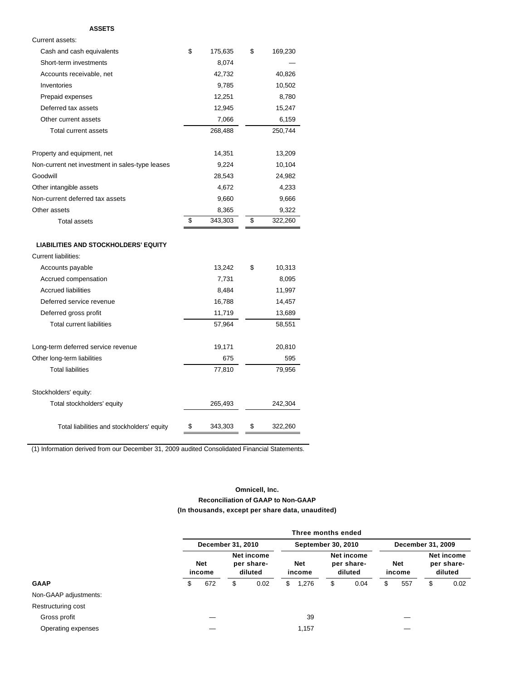#### **ASSETS**

| Current assets:                                                            |               |               |
|----------------------------------------------------------------------------|---------------|---------------|
| Cash and cash equivalents                                                  | \$<br>175,635 | \$<br>169,230 |
| Short-term investments                                                     | 8,074         |               |
| Accounts receivable, net                                                   | 42,732        | 40,826        |
| Inventories                                                                | 9,785         | 10,502        |
| Prepaid expenses                                                           | 12,251        | 8,780         |
| Deferred tax assets                                                        | 12,945        | 15,247        |
| Other current assets                                                       | 7,066         | 6,159         |
| Total current assets                                                       | 268,488       | 250,744       |
| Property and equipment, net                                                | 14,351        | 13,209        |
| Non-current net investment in sales-type leases                            | 9,224         | 10,104        |
| Goodwill                                                                   | 28,543        | 24,982        |
| Other intangible assets                                                    | 4,672         | 4,233         |
| Non-current deferred tax assets                                            | 9,660         | 9,666         |
| Other assets                                                               | 8,365         | 9,322         |
| <b>Total assets</b>                                                        | \$<br>343,303 | \$<br>322,260 |
| <b>LIABILITIES AND STOCKHOLDERS' EQUITY</b><br><b>Current liabilities:</b> |               |               |
| Accounts payable                                                           | 13,242        | \$<br>10,313  |
| Accrued compensation                                                       | 7,731         | 8,095         |
| <b>Accrued liabilities</b>                                                 | 8,484         | 11,997        |
| Deferred service revenue                                                   | 16,788        | 14,457        |
| Deferred gross profit                                                      | 11,719        | 13,689        |
| <b>Total current liabilities</b>                                           | 57,964        | 58,551        |
| Long-term deferred service revenue                                         | 19,171        | 20,810        |
| Other long-term liabilities                                                | 675           | 595           |
| <b>Total liabilities</b>                                                   | 77,810        | 79,956        |
| Stockholders' equity:                                                      |               |               |
| Total stockholders' equity                                                 | 265,493       | 242,304       |
| Total liabilities and stockholders' equity                                 | \$<br>343,303 | \$<br>322,260 |

(1) Information derived from our December 31, 2009 audited Consolidated Financial Statements.

# **Omnicell, Inc. Reconciliation of GAAP to Non-GAAP (In thousands, except per share data, unaudited)**

|                       | Three months ended |               |    |                                     |     |                      |    |                                     |    |                   |    |                                     |  |
|-----------------------|--------------------|---------------|----|-------------------------------------|-----|----------------------|----|-------------------------------------|----|-------------------|----|-------------------------------------|--|
|                       | December 31, 2010  |               |    |                                     |     |                      |    | September 30, 2010                  |    | December 31, 2009 |    |                                     |  |
|                       |                    | Net<br>income |    | Net income<br>per share-<br>diluted |     | <b>Net</b><br>income |    | Net income<br>per share-<br>diluted |    | Net<br>income     |    | Net income<br>per share-<br>diluted |  |
| <b>GAAP</b>           | \$                 | 672           | \$ | 0.02                                | \$. | 1,276                | \$ | 0.04                                | \$ | 557               | \$ | 0.02                                |  |
| Non-GAAP adjustments: |                    |               |    |                                     |     |                      |    |                                     |    |                   |    |                                     |  |
| Restructuring cost    |                    |               |    |                                     |     |                      |    |                                     |    |                   |    |                                     |  |
| Gross profit          |                    |               |    |                                     |     | 39                   |    |                                     |    |                   |    |                                     |  |
| Operating expenses    |                    |               |    |                                     |     | 1,157                |    |                                     |    |                   |    |                                     |  |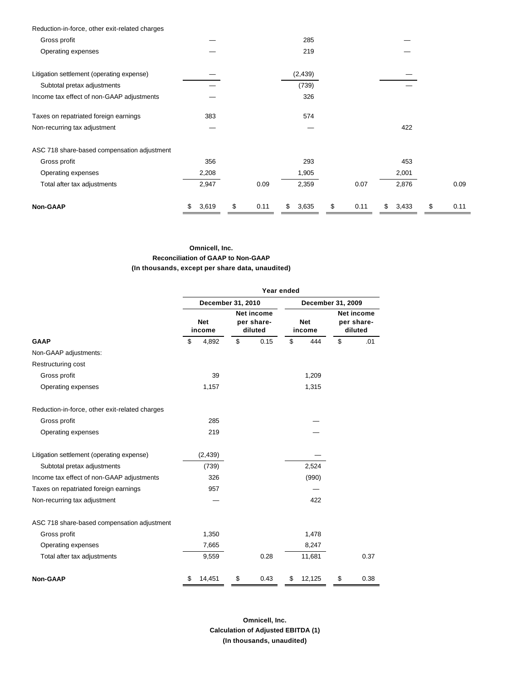| Reduction-in-force, other exit-related charges |             |            |             |            |             |            |
|------------------------------------------------|-------------|------------|-------------|------------|-------------|------------|
| Gross profit                                   |             |            | 285         |            |             |            |
| Operating expenses                             |             |            | 219         |            |             |            |
| Litigation settlement (operating expense)      |             |            | (2, 439)    |            |             |            |
| Subtotal pretax adjustments                    |             |            | (739)       |            |             |            |
| Income tax effect of non-GAAP adjustments      |             |            | 326         |            |             |            |
| Taxes on repatriated foreign earnings          | 383         |            | 574         |            |             |            |
| Non-recurring tax adjustment                   |             |            |             |            | 422         |            |
| ASC 718 share-based compensation adjustment    |             |            |             |            |             |            |
| Gross profit                                   | 356         |            | 293         |            | 453         |            |
| Operating expenses                             | 2,208       |            | 1,905       |            | 2,001       |            |
| Total after tax adjustments                    | 2,947       | 0.09       | 2,359       | 0.07       | 2,876       | 0.09       |
| <b>Non-GAAP</b>                                | \$<br>3,619 | \$<br>0.11 | \$<br>3,635 | \$<br>0.11 | \$<br>3,433 | \$<br>0.11 |

# **Omnicell, Inc. Reconciliation of GAAP to Non-GAAP (In thousands, except per share data, unaudited)**

|                                                | Year ended |                      |    |                                     |                   |                      |                                     |      |  |  |
|------------------------------------------------|------------|----------------------|----|-------------------------------------|-------------------|----------------------|-------------------------------------|------|--|--|
|                                                |            | December 31, 2010    |    |                                     | December 31, 2009 |                      |                                     |      |  |  |
| <b>GAAP</b>                                    |            | <b>Net</b><br>income |    | Net income<br>per share-<br>diluted |                   | <b>Net</b><br>income | Net income<br>per share-<br>diluted |      |  |  |
|                                                |            | 4,892                | \$ | 0.15                                | \$                | 444                  | \$                                  | .01  |  |  |
| Non-GAAP adjustments:                          |            |                      |    |                                     |                   |                      |                                     |      |  |  |
| Restructuring cost                             |            |                      |    |                                     |                   |                      |                                     |      |  |  |
| Gross profit                                   |            | 39                   |    |                                     |                   | 1,209                |                                     |      |  |  |
| Operating expenses                             |            | 1,157                |    |                                     |                   | 1,315                |                                     |      |  |  |
| Reduction-in-force, other exit-related charges |            |                      |    |                                     |                   |                      |                                     |      |  |  |
| Gross profit                                   |            | 285                  |    |                                     |                   |                      |                                     |      |  |  |
| Operating expenses                             |            | 219                  |    |                                     |                   |                      |                                     |      |  |  |
| Litigation settlement (operating expense)      |            | (2, 439)             |    |                                     |                   |                      |                                     |      |  |  |
| Subtotal pretax adjustments                    |            | (739)                |    |                                     |                   | 2,524                |                                     |      |  |  |
| Income tax effect of non-GAAP adjustments      |            | 326                  |    |                                     |                   | (990)                |                                     |      |  |  |
| Taxes on repatriated foreign earnings          |            | 957                  |    |                                     |                   |                      |                                     |      |  |  |
| Non-recurring tax adjustment                   |            |                      |    |                                     |                   | 422                  |                                     |      |  |  |
| ASC 718 share-based compensation adjustment    |            |                      |    |                                     |                   |                      |                                     |      |  |  |
| Gross profit                                   |            | 1,350                |    |                                     |                   | 1,478                |                                     |      |  |  |
| Operating expenses                             |            | 7,665                |    |                                     |                   | 8,247                |                                     |      |  |  |
| Total after tax adjustments                    |            | 9,559                |    | 0.28                                |                   | 11,681               |                                     | 0.37 |  |  |
| <b>Non-GAAP</b>                                | \$         | 14,451               | \$ | 0.43                                | \$                | 12,125               | \$                                  | 0.38 |  |  |

**Omnicell, Inc. Calculation of Adjusted EBITDA (1) (In thousands, unaudited)**